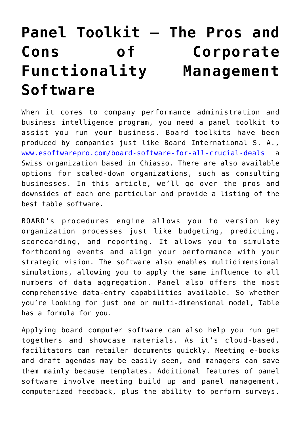## **[Panel Toolkit – The Pros and](https://cupidspulse.com/136634/panel-toolkit-the-pros-and-cons-of-corporate-functionality-management-software/) [Cons of Corporate](https://cupidspulse.com/136634/panel-toolkit-the-pros-and-cons-of-corporate-functionality-management-software/) [Functionality Management](https://cupidspulse.com/136634/panel-toolkit-the-pros-and-cons-of-corporate-functionality-management-software/) [Software](https://cupidspulse.com/136634/panel-toolkit-the-pros-and-cons-of-corporate-functionality-management-software/)**

When it comes to company performance administration and business intelligence program, you need a panel toolkit to assist you run your business. Board toolkits have been produced by companies just like Board International S. A., [www.esoftwarepro.com/board-software-for-all-crucial-deals](https://esoftwarepro.com/board-software-for-all-crucial-deals) a Swiss organization based in Chiasso. There are also available options for scaled-down organizations, such as consulting businesses. In this article, we'll go over the pros and downsides of each one particular and provide a listing of the best table software.

BOARD's procedures engine allows you to version key organization processes just like budgeting, predicting, scorecarding, and reporting. It allows you to simulate forthcoming events and align your performance with your strategic vision. The software also enables multidimensional simulations, allowing you to apply the same influence to all numbers of data aggregation. Panel also offers the most comprehensive data-entry capabilities available. So whether you're looking for just one or multi-dimensional model, Table has a formula for you.

Applying board computer software can also help you run get togethers and showcase materials. As it's cloud-based, facilitators can retailer documents quickly. Meeting e-books and draft agendas may be easily seen, and managers can save them mainly because templates. Additional features of panel software involve meeting build up and panel management, computerized feedback, plus the ability to perform surveys.